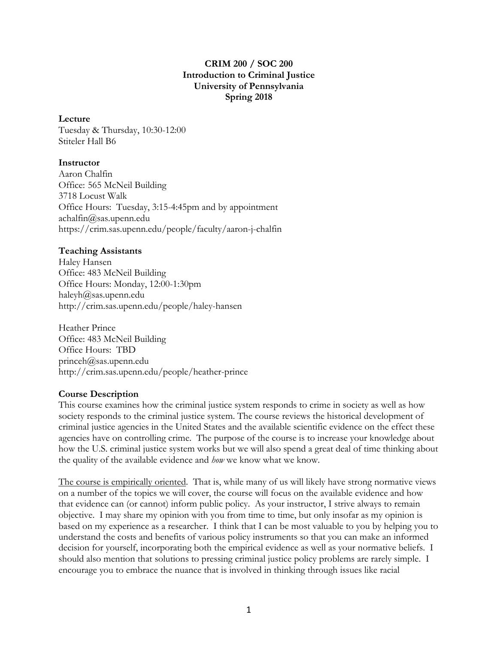## **CRIM 200 / SOC 200 Introduction to Criminal Justice University of Pennsylvania Spring 2018**

#### **Lecture**

Tuesday & Thursday, 10:30-12:00 Stiteler Hall B6

#### **Instructor**

Aaron Chalfin Office: 565 McNeil Building 3718 Locust Walk Office Hours: Tuesday, 3:15-4:45pm and by appointment achalfin@sas.upenn.edu https://crim.sas.upenn.edu/people/faculty/aaron-j-chalfin

#### **Teaching Assistants**

Haley Hansen Office: 483 McNeil Building Office Hours: Monday, 12:00-1:30pm haleyh@sas.upenn.edu http://crim.sas.upenn.edu/people/haley-hansen

Heather Prince Office: 483 McNeil Building Office Hours: TBD princeh@sas.upenn.edu http://crim.sas.upenn.edu/people/heather-prince

## **Course Description**

This course examines how the criminal justice system responds to crime in society as well as how society responds to the criminal justice system. The course reviews the historical development of criminal justice agencies in the United States and the available scientific evidence on the effect these agencies have on controlling crime. The purpose of the course is to increase your knowledge about how the U.S. criminal justice system works but we will also spend a great deal of time thinking about the quality of the available evidence and *how* we know what we know.

The course is empirically oriented. That is, while many of us will likely have strong normative views on a number of the topics we will cover, the course will focus on the available evidence and how that evidence can (or cannot) inform public policy. As your instructor, I strive always to remain objective. I may share my opinion with you from time to time, but only insofar as my opinion is based on my experience as a researcher. I think that I can be most valuable to you by helping you to understand the costs and benefits of various policy instruments so that you can make an informed decision for yourself, incorporating both the empirical evidence as well as your normative beliefs. I should also mention that solutions to pressing criminal justice policy problems are rarely simple. I encourage you to embrace the nuance that is involved in thinking through issues like racial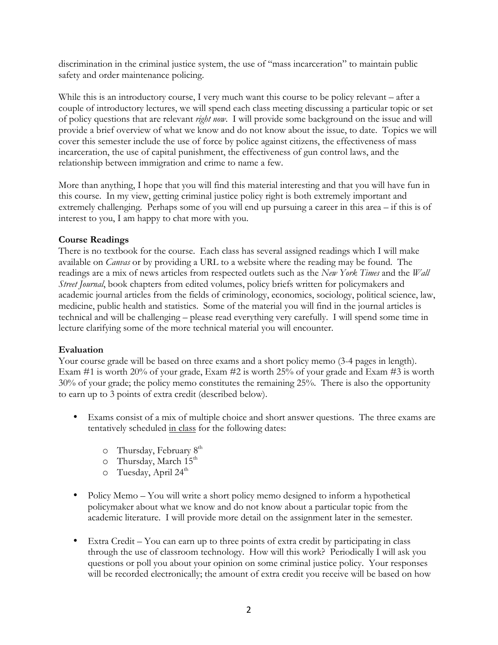discrimination in the criminal justice system, the use of "mass incarceration" to maintain public safety and order maintenance policing.

While this is an introductory course, I very much want this course to be policy relevant – after a couple of introductory lectures, we will spend each class meeting discussing a particular topic or set of policy questions that are relevant *right now*. I will provide some background on the issue and will provide a brief overview of what we know and do not know about the issue, to date. Topics we will cover this semester include the use of force by police against citizens, the effectiveness of mass incarceration, the use of capital punishment, the effectiveness of gun control laws, and the relationship between immigration and crime to name a few.

More than anything, I hope that you will find this material interesting and that you will have fun in this course. In my view, getting criminal justice policy right is both extremely important and extremely challenging. Perhaps some of you will end up pursuing a career in this area – if this is of interest to you, I am happy to chat more with you.

## **Course Readings**

There is no textbook for the course. Each class has several assigned readings which I will make available on *Canvas* or by providing a URL to a website where the reading may be found. The readings are a mix of news articles from respected outlets such as the *New York Times* and the *Wall Street Journal*, book chapters from edited volumes, policy briefs written for policymakers and academic journal articles from the fields of criminology, economics, sociology, political science, law, medicine, public health and statistics. Some of the material you will find in the journal articles is technical and will be challenging – please read everything very carefully. I will spend some time in lecture clarifying some of the more technical material you will encounter.

## **Evaluation**

Your course grade will be based on three exams and a short policy memo  $(3-4)$  pages in length). Exam #1 is worth 20% of your grade, Exam #2 is worth 25% of your grade and Exam #3 is worth 30% of your grade; the policy memo constitutes the remaining 25%. There is also the opportunity to earn up to 3 points of extra credit (described below).

- Exams consist of a mix of multiple choice and short answer questions. The three exams are tentatively scheduled in class for the following dates:
	- $\circ$  Thursday, February  $8<sup>th</sup>$
	- $\circ$  Thursday, March 15<sup>th</sup>
	- $\circ$  Tuesday, April 24<sup>th</sup>
- Policy Memo You will write a short policy memo designed to inform a hypothetical policymaker about what we know and do not know about a particular topic from the academic literature. I will provide more detail on the assignment later in the semester.
- Extra Credit You can earn up to three points of extra credit by participating in class through the use of classroom technology. How will this work? Periodically I will ask you questions or poll you about your opinion on some criminal justice policy. Your responses will be recorded electronically; the amount of extra credit you receive will be based on how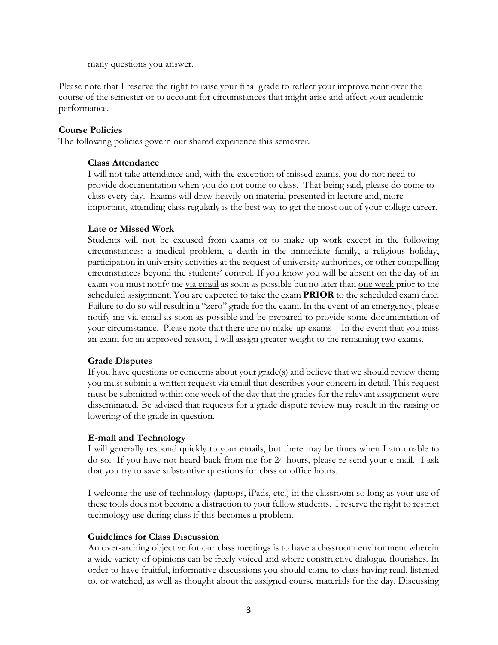many questions you answer.

Please note that I reserve the right to raise your final grade to reflect your improvement over the course of the semester or to account for circumstances that might arise and affect your academic performance.

#### **Course Policies**

The following policies govern our shared experience this semester.

#### **Class Attendance**

I will not take attendance and, with the exception of missed exams, you do not need to provide documentation when you do not come to class. That being said, please do come to class every day. Exams will draw heavily on material presented in lecture and, more important, attending class regularly is the best way to get the most out of your college career.

#### **Late or Missed Work**

Students will not be excused from exams or to make up work except in the following circumstances: a medical problem, a death in the immediate family, a religious holiday, participation in university activities at the request of university authorities, or other compelling circumstances beyond the students' control. If you know you will be absent on the day of an exam you must notify me <u>via email</u> as soon as possible but no later than <u>one week</u> prior to the scheduled assignment. You are expected to take the exam **PRIOR** to the scheduled exam date. Failure to do so will result in a "zero" grade for the exam. In the event of an emergency, please notify me via email as soon as possible and be prepared to provide some documentation of your circumstance. Please note that there are no make-up exams – In the event that you miss an exam for an approved reason, I will assign greater weight to the remaining two exams.

## **Grade Disputes**

If you have questions or concerns about your grade(s) and believe that we should review them; you must submit a written request via email that describes your concern in detail. This request must be submitted within one week of the day that the grades for the relevant assignment were disseminated. Be advised that requests for a grade dispute review may result in the raising or lowering of the grade in question.

#### **E-mail and Technology**

I will generally respond quickly to your emails, but there may be times when I am unable to do so. If you have not heard back from me for 24 hours, please re-send your e-mail. I ask that you try to save substantive questions for class or office hours.

I welcome the use of technology (laptops, iPads, etc.) in the classroom so long as your use of these tools does not become a distraction to your fellow students. I reserve the right to restrict technology use during class if this becomes a problem.

#### **Guidelines for Class Discussion**

An over-arching objective for our class meetings is to have a classroom environment wherein a wide variety of opinions can be freely voiced and where constructive dialogue flourishes. In order to have fruitful, informative discussions you should come to class having read, listened to, or watched, as well as thought about the assigned course materials for the day. Discussing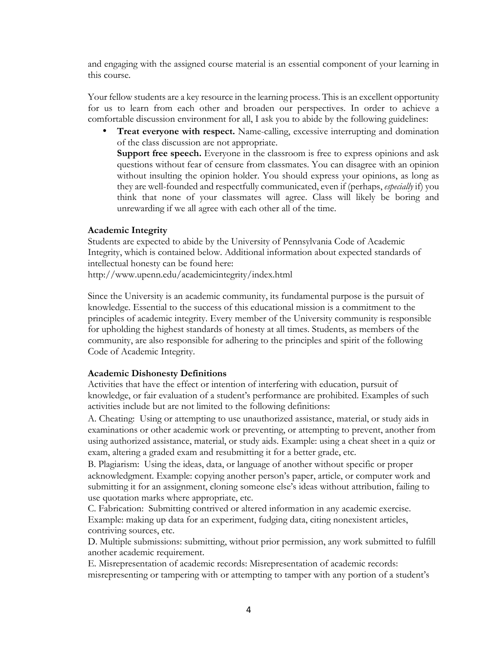and engaging with the assigned course material is an essential component of your learning in this course.

Your fellow students are a key resource in the learning process. This is an excellent opportunity for us to learn from each other and broaden our perspectives. In order to achieve a comfortable discussion environment for all, I ask you to abide by the following guidelines:

• **Treat everyone with respect.** Name-calling, excessive interrupting and domination of the class discussion are not appropriate.

**Support free speech.** Everyone in the classroom is free to express opinions and ask questions without fear of censure from classmates. You can disagree with an opinion without insulting the opinion holder. You should express your opinions, as long as they are well-founded and respectfully communicated, even if (perhaps, *especially* if) you think that none of your classmates will agree. Class will likely be boring and unrewarding if we all agree with each other all of the time.

#### **Academic Integrity**

Students are expected to abide by the University of Pennsylvania Code of Academic Integrity, which is contained below. Additional information about expected standards of intellectual honesty can be found here:

http://www.upenn.edu/academicintegrity/index.html

Since the University is an academic community, its fundamental purpose is the pursuit of knowledge. Essential to the success of this educational mission is a commitment to the principles of academic integrity. Every member of the University community is responsible for upholding the highest standards of honesty at all times. Students, as members of the community, are also responsible for adhering to the principles and spirit of the following Code of Academic Integrity.

#### **Academic Dishonesty Definitions**

Activities that have the effect or intention of interfering with education, pursuit of knowledge, or fair evaluation of a student's performance are prohibited. Examples of such activities include but are not limited to the following definitions:

A. Cheating: Using or attempting to use unauthorized assistance, material, or study aids in examinations or other academic work or preventing, or attempting to prevent, another from using authorized assistance, material, or study aids. Example: using a cheat sheet in a quiz or exam, altering a graded exam and resubmitting it for a better grade, etc.

B. Plagiarism: Using the ideas, data, or language of another without specific or proper acknowledgment. Example: copying another person's paper, article, or computer work and submitting it for an assignment, cloning someone else's ideas without attribution, failing to use quotation marks where appropriate, etc.

C. Fabrication: Submitting contrived or altered information in any academic exercise. Example: making up data for an experiment, fudging data, citing nonexistent articles, contriving sources, etc.

D. Multiple submissions: submitting, without prior permission, any work submitted to fulfill another academic requirement.

E. Misrepresentation of academic records: Misrepresentation of academic records: misrepresenting or tampering with or attempting to tamper with any portion of a student's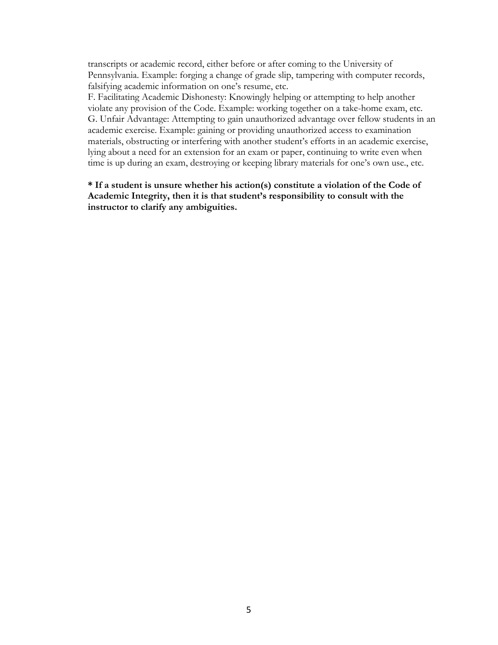transcripts or academic record, either before or after coming to the University of Pennsylvania. Example: forging a change of grade slip, tampering with computer records, falsifying academic information on one's resume, etc.

F. Facilitating Academic Dishonesty: Knowingly helping or attempting to help another violate any provision of the Code. Example: working together on a take-home exam, etc. G. Unfair Advantage: Attempting to gain unauthorized advantage over fellow students in an academic exercise. Example: gaining or providing unauthorized access to examination materials, obstructing or interfering with another student's efforts in an academic exercise, lying about a need for an extension for an exam or paper, continuing to write even when time is up during an exam, destroying or keeping library materials for one's own use., etc.

**\* If a student is unsure whether his action(s) constitute a violation of the Code of Academic Integrity, then it is that student's responsibility to consult with the instructor to clarify any ambiguities.**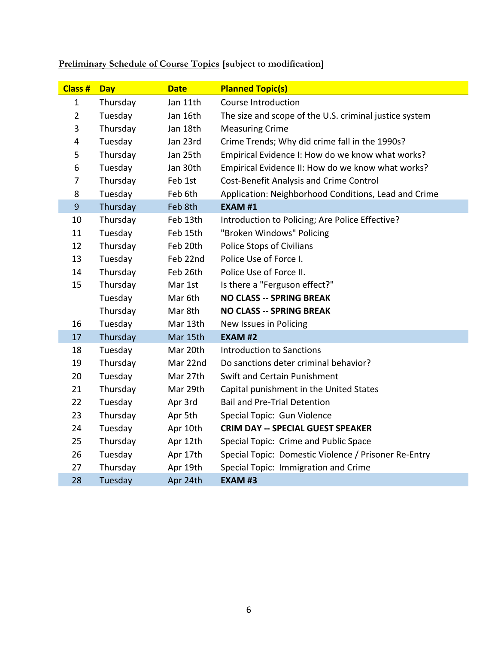| Class #        | <b>Day</b> | <b>Date</b> | <b>Planned Topic(s)</b>                                |
|----------------|------------|-------------|--------------------------------------------------------|
|                |            |             |                                                        |
| $\mathbf{1}$   | Thursday   | Jan 11th    | <b>Course Introduction</b>                             |
| $\overline{2}$ | Tuesday    | Jan 16th    | The size and scope of the U.S. criminal justice system |
| 3              | Thursday   | Jan 18th    | <b>Measuring Crime</b>                                 |
| $\overline{4}$ | Tuesday    | Jan 23rd    | Crime Trends; Why did crime fall in the 1990s?         |
| 5              | Thursday   | Jan 25th    | Empirical Evidence I: How do we know what works?       |
| 6              | Tuesday    | Jan 30th    | Empirical Evidence II: How do we know what works?      |
| $\overline{7}$ | Thursday   | Feb 1st     | <b>Cost-Benefit Analysis and Crime Control</b>         |
| 8              | Tuesday    | Feb 6th     | Application: Neighborhood Conditions, Lead and Crime   |
| $\overline{9}$ | Thursday   | Feb 8th     | <b>EXAM #1</b>                                         |
| 10             | Thursday   | Feb 13th    | Introduction to Policing; Are Police Effective?        |
| 11             | Tuesday    | Feb 15th    | "Broken Windows" Policing                              |
| 12             | Thursday   | Feb 20th    | <b>Police Stops of Civilians</b>                       |
| 13             | Tuesday    | Feb 22nd    | Police Use of Force I.                                 |
| 14             | Thursday   | Feb 26th    | Police Use of Force II.                                |
| 15             | Thursday   | Mar 1st     | Is there a "Ferguson effect?"                          |
|                | Tuesday    | Mar 6th     | <b>NO CLASS -- SPRING BREAK</b>                        |
|                | Thursday   | Mar 8th     | <b>NO CLASS -- SPRING BREAK</b>                        |
| 16             | Tuesday    | Mar 13th    | New Issues in Policing                                 |
| 17             | Thursday   | Mar 15th    | <b>EXAM #2</b>                                         |
| 18             | Tuesday    | Mar 20th    | <b>Introduction to Sanctions</b>                       |
| 19             | Thursday   | Mar 22nd    | Do sanctions deter criminal behavior?                  |
| 20             | Tuesday    | Mar 27th    | Swift and Certain Punishment                           |
| 21             | Thursday   | Mar 29th    | Capital punishment in the United States                |
| 22             | Tuesday    | Apr 3rd     | <b>Bail and Pre-Trial Detention</b>                    |
| 23             | Thursday   | Apr 5th     | Special Topic: Gun Violence                            |
| 24             | Tuesday    | Apr 10th    | <b>CRIM DAY -- SPECIAL GUEST SPEAKER</b>               |
| 25             | Thursday   | Apr 12th    | Special Topic: Crime and Public Space                  |
| 26             | Tuesday    | Apr 17th    | Special Topic: Domestic Violence / Prisoner Re-Entry   |
| 27             | Thursday   | Apr 19th    | Special Topic: Immigration and Crime                   |
| 28             | Tuesday    | Apr 24th    | <b>EXAM #3</b>                                         |
|                |            |             |                                                        |

# **Preliminary Schedule of Course Topics [subject to modification]**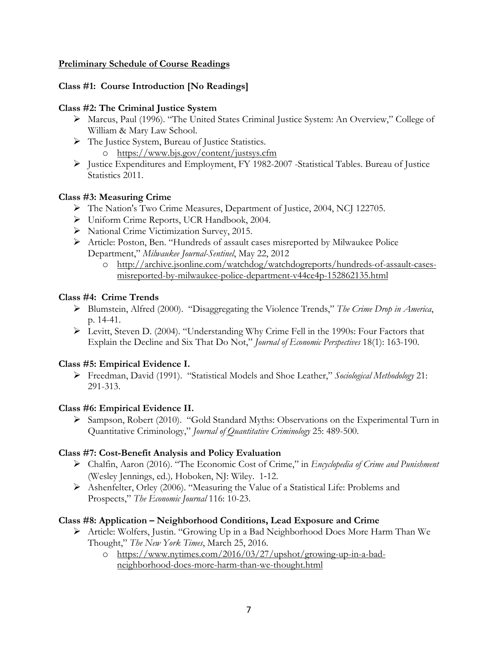## **Preliminary Schedule of Course Readings**

# **Class #1: Course Introduction [No Readings]**

## **Class #2: The Criminal Justice System**

- Ø Marcus, Paul (1996). "The United States Criminal Justice System: An Overview," College of William & Mary Law School.
- Ø The Justice System, Bureau of Justice Statistics.
	- o https://www.bjs.gov/content/justsys.cfm
- Ø Justice Expenditures and Employment, FY 1982-2007 -Statistical Tables. Bureau of Justice Statistics 2011.

## **Class #3: Measuring Crime**

- Ø The Nation's Two Crime Measures, Department of Justice, 2004, NCJ 122705.
- Ø Uniform Crime Reports, UCR Handbook, 2004.
- Ø National Crime Victimization Survey, 2015.
- Ø Article: Poston, Ben. "Hundreds of assault cases misreported by Milwaukee Police Department," *Milwaukee Journal-Sentinel*, May 22, 2012
	- o http://archive.jsonline.com/watchdog/watchdogreports/hundreds-of-assault-casesmisreported-by-milwaukee-police-department-v44ce4p-152862135.html

## **Class #4: Crime Trends**

- Ø Blumstein, Alfred (2000). "Disaggregating the Violence Trends," *The Crime Drop in America*, p. 14-41.
- Ø Levitt, Steven D. (2004). "Understanding Why Crime Fell in the 1990s: Four Factors that Explain the Decline and Six That Do Not," *Journal of Economic Perspectives* 18(1): 163-190.

## **Class #5: Empirical Evidence I.**

Ø Freedman, David (1991). "Statistical Models and Shoe Leather," *Sociological Methodology* 21: 291-313.

## **Class #6: Empirical Evidence II.**

 $\triangleright$  Sampson, Robert (2010). "Gold Standard Myths: Observations on the Experimental Turn in Quantitative Criminology," *Journal of Quantitative Criminology* 25: 489-500.

## **Class #7: Cost-Benefit Analysis and Policy Evaluation**

- Ø Chalfin, Aaron (2016). "The Economic Cost of Crime," in *Encyclopedia of Crime and Punishment* (Wesley Jennings, ed.)*,* Hoboken, NJ: Wiley. 1-12.
- Ø Ashenfelter, Orley (2006). "Measuring the Value of a Statistical Life: Problems and Prospects," *The Economic Journal* 116: 10-23.

# **Class #8: Application – Neighborhood Conditions, Lead Exposure and Crime**

- Ø Article: Wolfers, Justin. "Growing Up in a Bad Neighborhood Does More Harm Than We Thought," *The New York Times*, March 25, 2016.
	- o https://www.nytimes.com/2016/03/27/upshot/growing-up-in-a-badneighborhood-does-more-harm-than-we-thought.html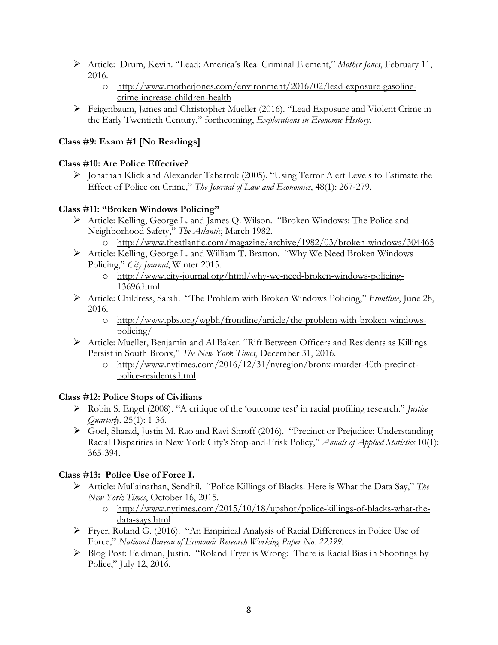- Ø Article: Drum, Kevin. "Lead: America's Real Criminal Element," *Mother Jones*, February 11, 2016.
	- o http://www.motherjones.com/environment/2016/02/lead-exposure-gasolinecrime-increase-children-health
- Ø Feigenbaum, James and Christopher Mueller (2016). "Lead Exposure and Violent Crime in the Early Twentieth Century," forthcoming, *Explorations in Economic History*.

# **Class #9: Exam #1 [No Readings]**

# **Class #10: Are Police Effective?**

Ø Jonathan Klick and Alexander Tabarrok (2005). "Using Terror Alert Levels to Estimate the Effect of Police on Crime," *The Journal of Law and Economics*, 48(1): 267-279.

# **Class #11: "Broken Windows Policing"**

- Ø Article: Kelling, George L. and James Q. Wilson. "Broken Windows: The Police and Neighborhood Safety," *The Atlantic*, March 1982.
	- o http://www.theatlantic.com/magazine/archive/1982/03/broken-windows/304465
- Ø Article: Kelling, George L. and William T. Bratton. "Why We Need Broken Windows Policing," *City Journal*, Winter 2015.
	- o http://www.city-journal.org/html/why-we-need-broken-windows-policing-13696.html
- Ø Article: Childress, Sarah. "The Problem with Broken Windows Policing," *Frontline*, June 28, 2016.
	- o http://www.pbs.org/wgbh/frontline/article/the-problem-with-broken-windowspolicing/
- Ø Article: Mueller, Benjamin and Al Baker. "Rift Between Officers and Residents as Killings Persist in South Bronx," *The New York Times*, December 31, 2016.
	- o http://www.nytimes.com/2016/12/31/nyregion/bronx-murder-40th-precinctpolice-residents.html

# **Class #12: Police Stops of Civilians**

- Ø Robin S. Engel (2008). "A critique of the 'outcome test' in racial profiling research." *Justice Quarterly*. 25(1): 1-36.
- Ø Goel, Sharad, Justin M. Rao and Ravi Shroff (2016). "Precinct or Prejudice: Understanding Racial Disparities in New York City's Stop-and-Frisk Policy," *Annals of Applied Statistics* 10(1): 365-394.

# **Class #13: Police Use of Force I.**

- Ø Article: Mullainathan, Sendhil. "Police Killings of Blacks: Here is What the Data Say," *The New York Times*, October 16, 2015.
	- o http://www.nytimes.com/2015/10/18/upshot/police-killings-of-blacks-what-thedata-says.html
- $\triangleright$  Fryer, Roland G. (2016). "An Empirical Analysis of Racial Differences in Police Use of Force," *National Bureau of Economic Research Working Paper No. 22399*.
- Ø Blog Post: Feldman, Justin. "Roland Fryer is Wrong: There is Racial Bias in Shootings by Police," July 12, 2016.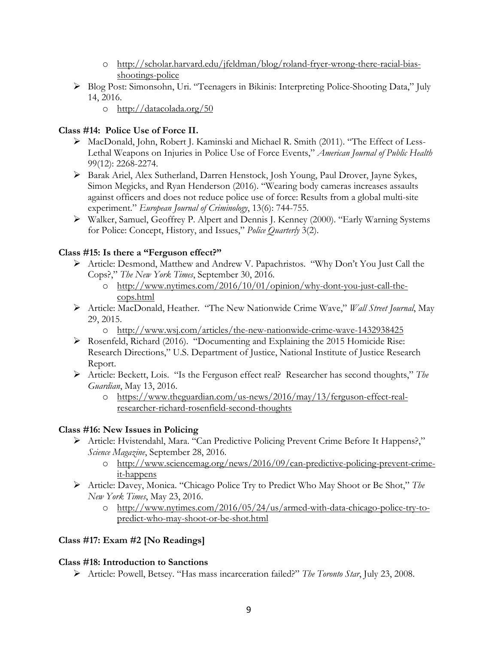- o http://scholar.harvard.edu/jfeldman/blog/roland-fryer-wrong-there-racial-biasshootings-police
- Ø Blog Post: Simonsohn, Uri. "Teenagers in Bikinis: Interpreting Police-Shooting Data," July 14, 2016.
	- o http://datacolada.org/50

# **Class #14: Police Use of Force II.**

- Ø MacDonald, John, Robert J. Kaminski and Michael R. Smith (2011). "The Effect of Less-Lethal Weapons on Injuries in Police Use of Force Events," *American Journal of Public Health* 99(12): 2268-2274.
- Ø Barak Ariel, Alex Sutherland, Darren Henstock, Josh Young, Paul Drover, Jayne Sykes, Simon Megicks, and Ryan Henderson (2016). "Wearing body cameras increases assaults against officers and does not reduce police use of force: Results from a global multi-site experiment." *European Journal of Criminology*, 13(6): 744-755.
- Ø Walker, Samuel, Geoffrey P. Alpert and Dennis J. Kenney (2000). "Early Warning Systems for Police: Concept, History, and Issues," *Police Quarterly* 3(2).

# **Class #15: Is there a "Ferguson effect?"**

- Ø Article: Desmond, Matthew and Andrew V. Papachristos. "Why Don't You Just Call the Cops?," *The New York Times*, September 30, 2016.
	- o http://www.nytimes.com/2016/10/01/opinion/why-dont-you-just-call-thecops.html
- Ø Article: MacDonald, Heather. "The New Nationwide Crime Wave," *Wall Street Journal*, May 29, 2015.
	- o http://www.wsj.com/articles/the-new-nationwide-crime-wave-1432938425
- Ø Rosenfeld, Richard (2016). "Documenting and Explaining the 2015 Homicide Rise: Research Directions," U.S. Department of Justice, National Institute of Justice Research Report.
- Ø Article: Beckett, Lois. "Is the Ferguson effect real? Researcher has second thoughts," *The Guardian*, May 13, 2016.
	- o https://www.theguardian.com/us-news/2016/may/13/ferguson-effect-realresearcher-richard-rosenfield-second-thoughts

## **Class #16: New Issues in Policing**

- Ø Article: Hvistendahl, Mara. "Can Predictive Policing Prevent Crime Before It Happens?," *Science Magazine*, September 28, 2016.
	- o http://www.sciencemag.org/news/2016/09/can-predictive-policing-prevent-crimeit-happens
- Ø Article: Davey, Monica. "Chicago Police Try to Predict Who May Shoot or Be Shot," *The New York Times*, May 23, 2016.
	- o http://www.nytimes.com/2016/05/24/us/armed-with-data-chicago-police-try-topredict-who-may-shoot-or-be-shot.html

# **Class #17: Exam #2 [No Readings]**

# **Class #18: Introduction to Sanctions**

Ø Article: Powell, Betsey. "Has mass incarceration failed?" *The Toronto Star*, July 23, 2008.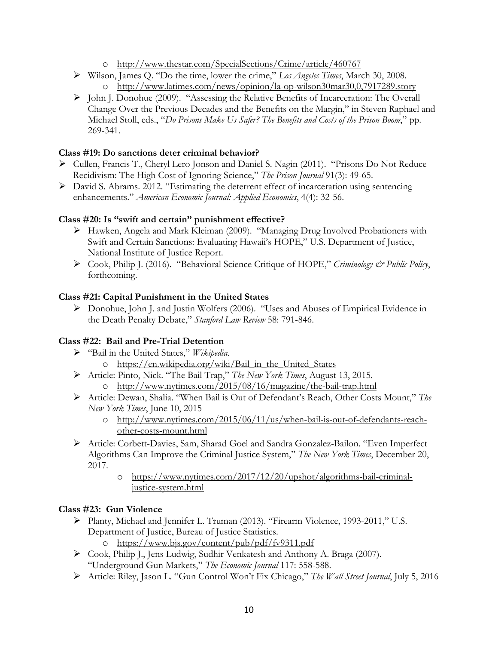- o http://www.thestar.com/SpecialSections/Crime/article/460767
- Ø Wilson, James Q. "Do the time, lower the crime," *Los Angeles Times*, March 30, 2008. o http://www.latimes.com/news/opinion/la-op-wilson30mar30,0,7917289.story
- Ø John J. Donohue (2009). "Assessing the Relative Benefits of Incarceration: The Overall Change Over the Previous Decades and the Benefits on the Margin," in Steven Raphael and Michael Stoll, eds., "*Do Prisons Make Us Safer? The Benefits and Costs of the Prison Boom*," pp. 269-341.

# **Class #19: Do sanctions deter criminal behavior?**

- Ø Cullen, Francis T., Cheryl Lero Jonson and Daniel S. Nagin (2011). "Prisons Do Not Reduce Recidivism: The High Cost of Ignoring Science," *The Prison Journal* 91(3): 49-65.
- $\triangleright$  David S. Abrams. 2012. "Estimating the deterrent effect of incarceration using sentencing enhancements." *American Economic Journal: Applied Economics*, 4(4): 32-56.

## **Class #20: Is "swift and certain" punishment effective?**

- Ø Hawken, Angela and Mark Kleiman (2009). "Managing Drug Involved Probationers with Swift and Certain Sanctions: Evaluating Hawaii's HOPE," U.S. Department of Justice, National Institute of Justice Report.
- Ø Cook, Philip J. (2016). "Behavioral Science Critique of HOPE," *Criminology & Public Policy*, forthcoming.

## **Class #21: Capital Punishment in the United States**

Ø Donohue, John J. and Justin Wolfers (2006). "Uses and Abuses of Empirical Evidence in the Death Penalty Debate," *Stanford Law Review* 58: 791-846.

## **Class #22: Bail and Pre-Trial Detention**

- Ø "Bail in the United States," *Wikipedia*.
	- o https://en.wikipedia.org/wiki/Bail\_in\_the\_United\_States
- Ø Article: Pinto, Nick. "The Bail Trap," *The New York Times*, August 13, 2015. o http://www.nytimes.com/2015/08/16/magazine/the-bail-trap.html
- Ø Article: Dewan, Shalia. "When Bail is Out of Defendant's Reach, Other Costs Mount," *The New York Times*, June 10, 2015
	- o http://www.nytimes.com/2015/06/11/us/when-bail-is-out-of-defendants-reachother-costs-mount.html
- Ø Article: Corbett-Davies, Sam, Sharad Goel and Sandra Gonzalez-Bailon. "Even Imperfect Algorithms Can Improve the Criminal Justice System," *The New York Times*, December 20, 2017.
	- o https://www.nytimes.com/2017/12/20/upshot/algorithms-bail-criminaljustice-system.html

## **Class #23: Gun Violence**

- Ø Planty, Michael and Jennifer L. Truman (2013). "Firearm Violence, 1993-2011," U.S. Department of Justice, Bureau of Justice Statistics.
	- o https://www.bjs.gov/content/pub/pdf/fv9311.pdf
- Ø Cook, Philip J., Jens Ludwig, Sudhir Venkatesh and Anthony A. Braga (2007). "Underground Gun Markets," *The Economic Journal* 117: 558-588.
- Ø Article: Riley, Jason L. "Gun Control Won't Fix Chicago," *The Wall Street Journal*, July 5, 2016